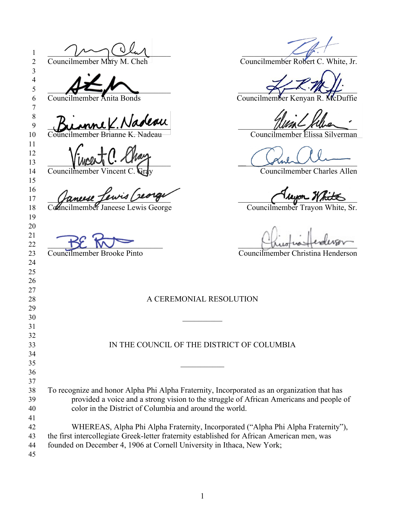\_\_\_\_\_\_\_\_\_\_\_\_\_\_\_\_\_\_\_\_\_\_\_\_\_\_\_\_\_\_\_\_\_\_\_\_\_\_\_\_\_\_\_\_\_\_\_\_\_\_\_\_\_\_\_\_\_\_\_\_ 2 Councilmember Mary M. Cheh Councilmember Robert C. White, Jr.  $\frac{1}{2}$  Councilmember Anita Bonds Councilmember Kenyan R. McDuffie **Burnne K. Naveau**  Councilmember Brianne K. Nadeau Councilmember Elissa Silverman When  $C \cdot T$   $\sim$ 14 Councilmember Vincent C. Gray Councilmember Charles Allen 17 (fancese Jewis Deorge de la Company de la Company Notes 18 Councilmember Janeese Lewis George Councilmember Trayon White, Sr.  $\rightarrow \mathbb{Z}$   $\rightarrow \mathbb{Z}$  Councilmember Brooke Pinto Councilmember Christina Henderson 28 A CEREMONIAL RESOLUTION \_\_\_\_\_\_\_\_\_\_ IN THE COUNCIL OF THE DISTRICT OF COLUMBIA To recognize and honor Alpha Phi Alpha Fraternity, Incorporated as an organization that has provided a voice and a strong vision to the struggle of African Americans and people of color in the District of Columbia and around the world. WHEREAS, Alpha Phi Alpha Fraternity, Incorporated ("Alpha Phi Alpha Fraternity"), the first intercollegiate Greek-letter fraternity established for African American men, was founded on December 4, 1906 at Cornell University in Ithaca, New York;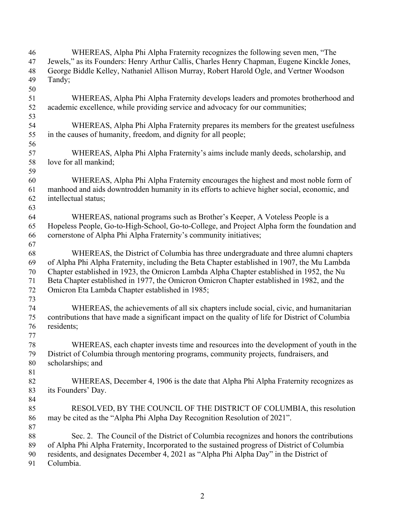| 46     | WHEREAS, Alpha Phi Alpha Fraternity recognizes the following seven men, "The                      |
|--------|---------------------------------------------------------------------------------------------------|
| 47     | Jewels," as its Founders: Henry Arthur Callis, Charles Henry Chapman, Eugene Kinckle Jones,       |
| 48     | George Biddle Kelley, Nathaniel Allison Murray, Robert Harold Ogle, and Vertner Woodson           |
| 49     | Tandy;                                                                                            |
| 50     |                                                                                                   |
| 51     | WHEREAS, Alpha Phi Alpha Fraternity develops leaders and promotes brotherhood and                 |
| 52     | academic excellence, while providing service and advocacy for our communities;                    |
| 53     |                                                                                                   |
|        |                                                                                                   |
| 54     | WHEREAS, Alpha Phi Alpha Fraternity prepares its members for the greatest usefulness              |
| 55     | in the causes of humanity, freedom, and dignity for all people;                                   |
| 56     |                                                                                                   |
| 57     | WHEREAS, Alpha Phi Alpha Fraternity's aims include manly deeds, scholarship, and                  |
| 58     | love for all mankind;                                                                             |
| 59     |                                                                                                   |
| 60     | WHEREAS, Alpha Phi Alpha Fraternity encourages the highest and most noble form of                 |
| 61     | manhood and aids downtrodden humanity in its efforts to achieve higher social, economic, and      |
| 62     | intellectual status;                                                                              |
| 63     |                                                                                                   |
| 64     | WHEREAS, national programs such as Brother's Keeper, A Voteless People is a                       |
| 65     | Hopeless People, Go-to-High-School, Go-to-College, and Project Alpha form the foundation and      |
| 66     | cornerstone of Alpha Phi Alpha Fraternity's community initiatives;                                |
| 67     |                                                                                                   |
| 68     | WHEREAS, the District of Columbia has three undergraduate and three alumni chapters               |
| 69     | of Alpha Phi Alpha Fraternity, including the Beta Chapter established in 1907, the Mu Lambda      |
| 70     | Chapter established in 1923, the Omicron Lambda Alpha Chapter established in 1952, the Nu         |
| 71     | Beta Chapter established in 1977, the Omicron Omicron Chapter established in 1982, and the        |
| 72     | Omicron Eta Lambda Chapter established in 1985;                                                   |
| 73     |                                                                                                   |
| 74     | WHEREAS, the achievements of all six chapters include social, civic, and humanitarian             |
| 75     | contributions that have made a significant impact on the quality of life for District of Columbia |
| 76     | residents;                                                                                        |
| 77     |                                                                                                   |
| $78\,$ | WHEREAS, each chapter invests time and resources into the development of youth in the             |
| 79     | District of Columbia through mentoring programs, community projects, fundraisers, and             |
| 80     | scholarships; and                                                                                 |
|        |                                                                                                   |
| 81     |                                                                                                   |
| 82     | WHEREAS, December 4, 1906 is the date that Alpha Phi Alpha Fraternity recognizes as               |
| 83     | its Founders' Day.                                                                                |
| 84     |                                                                                                   |
| 85     | RESOLVED, BY THE COUNCIL OF THE DISTRICT OF COLUMBIA, this resolution                             |
| 86     | may be cited as the "Alpha Phi Alpha Day Recognition Resolution of 2021".                         |
| 87     |                                                                                                   |
| 88     | Sec. 2. The Council of the District of Columbia recognizes and honors the contributions           |
| 89     | of Alpha Phi Alpha Fraternity, Incorporated to the sustained progress of District of Columbia     |
| 90     | residents, and designates December 4, 2021 as "Alpha Phi Alpha Day" in the District of            |
| 91     | Columbia.                                                                                         |